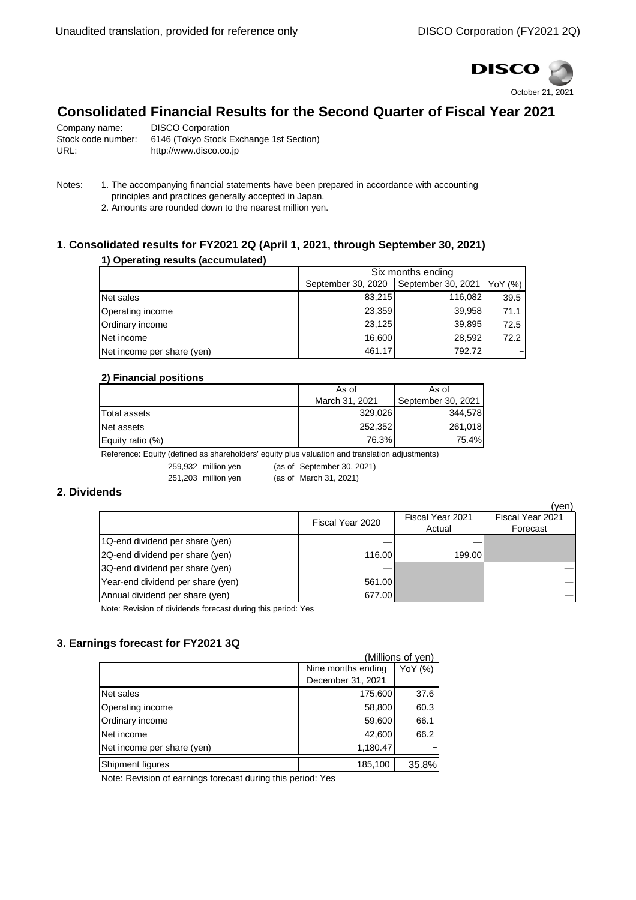

# **Consolidated Financial Results for the Second Quarter of Fiscal Year 2021**

| Company name:      | <b>DISCO Corporation</b>                |
|--------------------|-----------------------------------------|
| Stock code number: | 6146 (Tokyo Stock Exchange 1st Section) |
| URL:               | http://www.disco.co.jp                  |

- Notes: 1. The accompanying financial statements have been prepared in accordance with accounting principles and practices generally accepted in Japan.
	- 2. Amounts are rounded down to the nearest million yen.

### **1. Consolidated results for FY2021 2Q (April 1, 2021, through September 30, 2021)**

#### **1) Operating results (accumulated)**

|                            | Six months ending  |                    |         |
|----------------------------|--------------------|--------------------|---------|
|                            | September 30, 2020 | September 30, 2021 | YoY (%) |
| Net sales                  | 83,215             | 116,082            | 39.5    |
| Operating income           | 23,359             | 39,958             | 71.1    |
| Ordinary income            | 23,125             | 39,895             | 72.5    |
| Net income                 | 16,600             | 28,592             | 72.2    |
| Net income per share (yen) | 461.17             | 792.72             |         |

#### **2) Financial positions**

|                  | As of          | As of              |  |
|------------------|----------------|--------------------|--|
|                  | March 31, 2021 | September 30, 2021 |  |
| Total assets     | 329,026        | 344,578            |  |
| Net assets       | 252,352        | 261,018            |  |
| Equity ratio (%) | 76.3%          | 75.4%              |  |

Reference: Equity (defined as shareholders' equity plus valuation and translation adjustments)

259,932 million yen (as of September 30, 2021)<br>254,203 million yen (as of March 34, 2021) 251,203 million yen (as of March 31, 2021)

#### **2. Dividends**

|                                   |                  |                  | (yen)            |
|-----------------------------------|------------------|------------------|------------------|
|                                   | Fiscal Year 2020 | Fiscal Year 2021 | Fiscal Year 2021 |
|                                   |                  | Actual           | Forecast         |
| 1Q-end dividend per share (yen)   |                  |                  |                  |
| 2Q-end dividend per share (yen)   | 116.00           | 199.00           |                  |
| 3Q-end dividend per share (yen)   |                  |                  |                  |
| Year-end dividend per share (yen) | 561.00           |                  |                  |
| Annual dividend per share (yen)   | 677.00           |                  |                  |

Note: Revision of dividends forecast during this period: Yes

### **3. Earnings forecast for FY2021 3Q**

|                            |                    | (Millions of yen) |
|----------------------------|--------------------|-------------------|
|                            | Nine months ending | YoY (%)           |
|                            | December 31, 2021  |                   |
| Net sales                  | 175,600            | 37.6              |
| Operating income           | 58,800             | 60.3              |
| Ordinary income            | 59,600             | 66.1              |
| Net income                 | 42,600             | 66.2              |
| Net income per share (yen) | 1,180.47           |                   |
| Shipment figures           | 185,100            | 35.8%             |

Note: Revision of earnings forecast during this period: Yes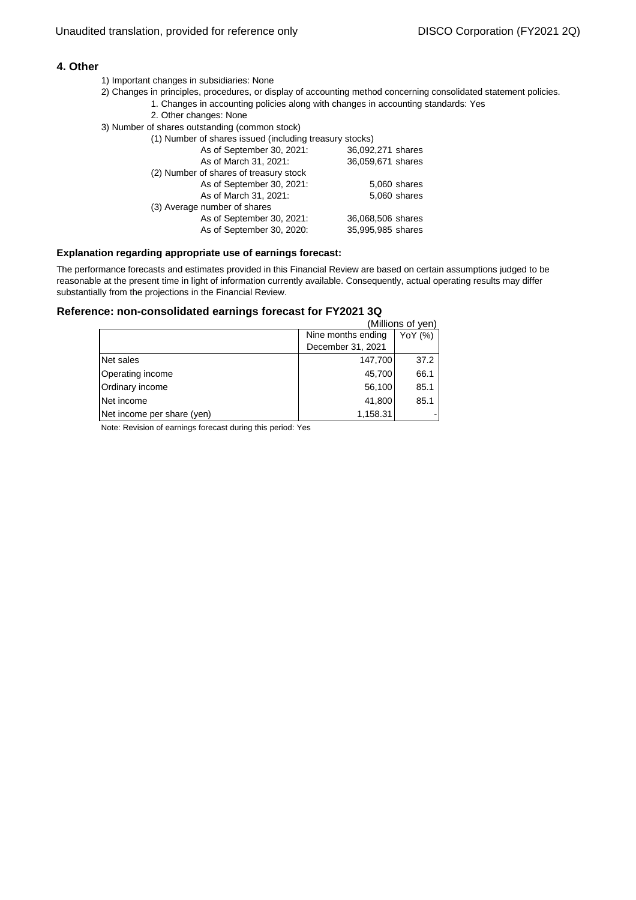#### **4. Other**

- 1) Important changes in subsidiaries: None
- 1. Changes in accounting policies along with changes in accounting standards: Yes 2) Changes in principles, procedures, or display of accounting method concerning consolidated statement policies.
	- 2. Other changes: None
- 3) Number of shares outstanding (common stock)
	- (1) Number of shares issued (including treasury stocks)

| As of September 30, 2021:              | 36,092,271 shares |
|----------------------------------------|-------------------|
| As of March 31, 2021:                  | 36,059,671 shares |
| (2) Number of shares of treasury stock |                   |
| As of September 30, 2021:              | 5,060 shares      |
| As of March 31, 2021:                  | 5,060 shares      |
| (3) Average number of shares           |                   |
| As of September 30, 2021:              | 36,068,506 shares |
| As of September 30, 2020:              | 35,995,985 shares |
|                                        |                   |

#### **Explanation regarding appropriate use of earnings forecast:**

The performance forecasts and estimates provided in this Financial Review are based on certain assumptions judged to be reasonable at the present time in light of information currently available. Consequently, actual operating results may differ substantially from the projections in the Financial Review.

#### **Reference: non-consolidated earnings forecast for FY2021 3Q**

|                            |                               | (Millions of yen) |
|----------------------------|-------------------------------|-------------------|
|                            | Nine months ending<br>YoY (%) |                   |
|                            | December 31, 2021             |                   |
| Net sales                  | 147,700                       | 37.2              |
| Operating income           | 45,700                        | 66.1              |
| Ordinary income            | 56,100                        | 85.1              |
| Net income                 | 41,800                        | 85.1              |
| Net income per share (yen) | 1,158.31                      |                   |

Note: Revision of earnings forecast during this period: Yes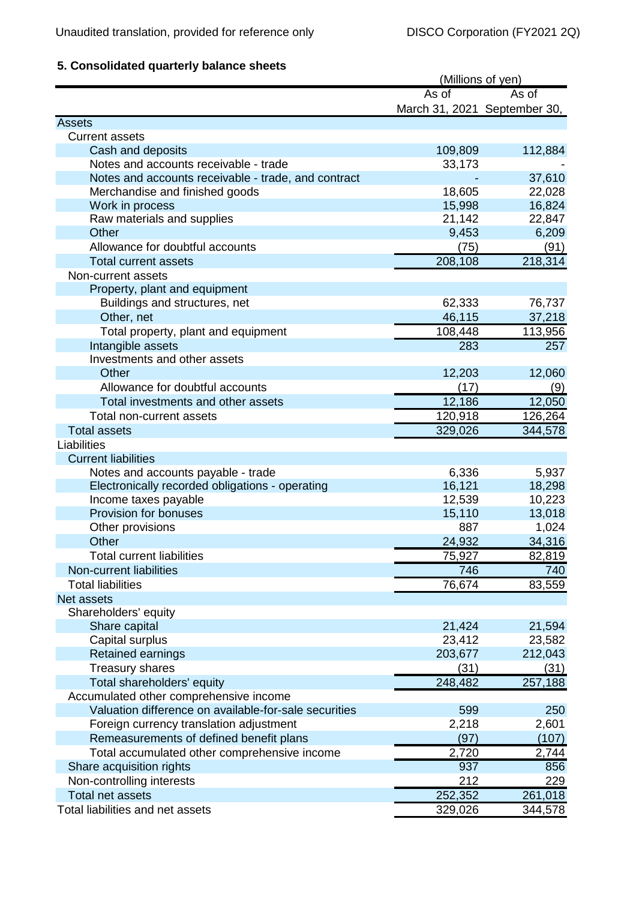## **5. Consolidated quarterly balance sheets**

|                                                       | (Millions of yen)            |         |
|-------------------------------------------------------|------------------------------|---------|
|                                                       | As of                        | As of   |
|                                                       | March 31, 2021 September 30, |         |
| <b>Assets</b>                                         |                              |         |
| <b>Current assets</b>                                 |                              |         |
| Cash and deposits                                     | 109,809                      | 112,884 |
| Notes and accounts receivable - trade                 | 33,173                       |         |
| Notes and accounts receivable - trade, and contract   |                              | 37,610  |
| Merchandise and finished goods                        | 18,605                       | 22,028  |
| Work in process                                       | 15,998                       | 16,824  |
| Raw materials and supplies                            | 21,142                       | 22,847  |
| Other                                                 | 9,453                        | 6,209   |
| Allowance for doubtful accounts                       | (75)                         | (91)    |
| <b>Total current assets</b>                           | 208,108                      | 218,314 |
| Non-current assets                                    |                              |         |
| Property, plant and equipment                         |                              |         |
| Buildings and structures, net                         | 62,333                       | 76,737  |
| Other, net                                            | 46,115                       | 37,218  |
| Total property, plant and equipment                   | 108,448                      | 113,956 |
| Intangible assets                                     | 283                          | 257     |
| Investments and other assets                          |                              |         |
| Other                                                 | 12,203                       | 12,060  |
| Allowance for doubtful accounts                       | (17)                         | (9)     |
| Total investments and other assets                    | 12,186                       | 12,050  |
| Total non-current assets                              | 120,918                      | 126,264 |
| <b>Total assets</b>                                   | 329,026                      | 344,578 |
| Liabilities                                           |                              |         |
| <b>Current liabilities</b>                            |                              |         |
| Notes and accounts payable - trade                    | 6,336                        | 5,937   |
| Electronically recorded obligations - operating       | 16,121                       | 18,298  |
| Income taxes payable                                  | 12,539                       | 10,223  |
| Provision for bonuses                                 | 15,110                       | 13,018  |
| Other provisions                                      | 887                          | 1,024   |
| Other                                                 | 24,932                       | 34,316  |
| <b>Total current liabilities</b>                      | 75,927                       | 82,819  |
| Non-current liabilities                               | 746                          |         |
|                                                       |                              | 740     |
| <b>Total liabilities</b>                              | 76,674                       | 83,559  |
| Net assets                                            |                              |         |
| Shareholders' equity                                  |                              |         |
| Share capital                                         | 21,424                       | 21,594  |
| Capital surplus                                       | 23,412                       | 23,582  |
| Retained earnings                                     | 203,677                      | 212,043 |
| <b>Treasury shares</b>                                | (31)                         | (31)    |
| Total shareholders' equity                            | 248,482                      | 257,188 |
| Accumulated other comprehensive income                |                              |         |
| Valuation difference on available-for-sale securities | 599                          | 250     |
| Foreign currency translation adjustment               | 2,218                        | 2,601   |
| Remeasurements of defined benefit plans               | (97)                         | (107)   |
| Total accumulated other comprehensive income          | 2,720                        | 2,744   |
| Share acquisition rights                              | 937                          | 856     |
| Non-controlling interests                             | 212                          | 229     |
| <b>Total net assets</b>                               | 252,352                      | 261,018 |
| Total liabilities and net assets                      | 329,026                      | 344,578 |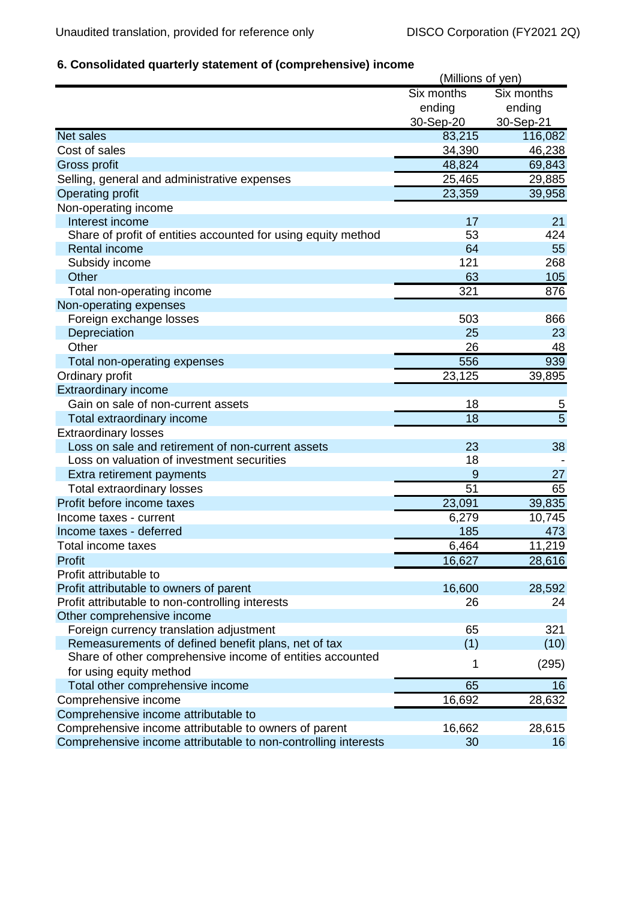## **6. Consolidated quarterly statement of (comprehensive) income**

|                                                                | (Millions of yen) |                |
|----------------------------------------------------------------|-------------------|----------------|
|                                                                | Six months        | Six months     |
|                                                                | ending            | ending         |
|                                                                | 30-Sep-20         | 30-Sep-21      |
| <b>Net sales</b>                                               | 83,215            | 116,082        |
| Cost of sales                                                  | 34,390            | 46,238         |
| Gross profit                                                   | 48,824            | 69,843         |
| Selling, general and administrative expenses                   | 25,465            | 29,885         |
| <b>Operating profit</b>                                        | 23,359            | 39,958         |
| Non-operating income                                           |                   |                |
| Interest income                                                | 17                | 21             |
| Share of profit of entities accounted for using equity method  | 53                | 424            |
| <b>Rental income</b>                                           | 64                | 55             |
| Subsidy income                                                 | 121               | 268            |
| Other                                                          | 63                | 105            |
| Total non-operating income                                     | 321               | 876            |
| Non-operating expenses                                         |                   |                |
| Foreign exchange losses                                        | 503               | 866            |
| Depreciation                                                   | 25                | 23             |
| Other                                                          | 26                | 48             |
| Total non-operating expenses                                   | 556               | 939            |
| Ordinary profit                                                | 23,125            | 39,895         |
| <b>Extraordinary income</b>                                    |                   |                |
| Gain on sale of non-current assets                             | 18                | $\overline{5}$ |
| Total extraordinary income                                     | 18                | $\overline{5}$ |
| <b>Extraordinary losses</b>                                    |                   |                |
| Loss on sale and retirement of non-current assets              | 23                | 38             |
| Loss on valuation of investment securities                     | 18                |                |
| Extra retirement payments                                      | 9                 | 27             |
| <b>Total extraordinary losses</b>                              | 51                | 65             |
| Profit before income taxes                                     | 23,091            | 39,835         |
| Income taxes - current                                         | 6,279             | 10,745         |
| Income taxes - deferred                                        | 185               | 473            |
| Total income taxes                                             | 6,464             | 11,219         |
| Profit                                                         | 16,627            | 28,616         |
| Profit attributable to                                         |                   |                |
| Profit attributable to owners of parent                        | 16,600            | 28,592         |
| Profit attributable to non-controlling interests               | 26                | 24             |
| Other comprehensive income                                     |                   |                |
| Foreign currency translation adjustment                        | 65                | 321            |
| Remeasurements of defined benefit plans, net of tax            | (1)               | (10)           |
| Share of other comprehensive income of entities accounted      |                   |                |
| for using equity method                                        | 1                 | (295)          |
| Total other comprehensive income                               | 65                | 16             |
| Comprehensive income                                           | 16,692            | 28,632         |
| Comprehensive income attributable to                           |                   |                |
| Comprehensive income attributable to owners of parent          | 16,662            | 28,615         |
| Comprehensive income attributable to non-controlling interests | 30                | 16             |
|                                                                |                   |                |